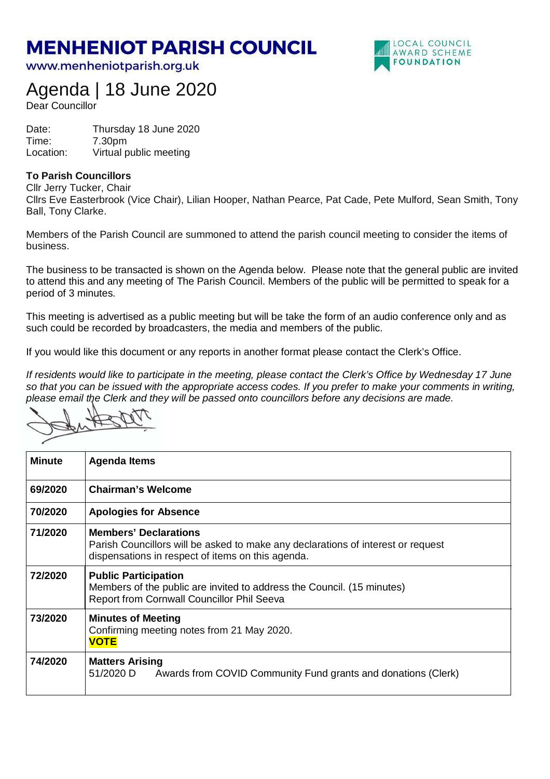## **MENHENIOT PARISH COUNCIL**

www.menheniotparish.org.uk



## Agenda | 18 June 2020

Dear Councillor

Date: Thursday 18 June 2020 Time: 7.30pm Location: Virtual public meeting

## **To Parish Councillors**

Cllr Jerry Tucker, Chair

Cllrs Eve Easterbrook (Vice Chair), Lilian Hooper, Nathan Pearce, Pat Cade, Pete Mulford, Sean Smith, Tony Ball, Tony Clarke.

Members of the Parish Council are summoned to attend the parish council meeting to consider the items of business.

The business to be transacted is shown on the Agenda below. Please note that the general public are invited to attend this and any meeting of The Parish Council. Members of the public will be permitted to speak for a period of 3 minutes.

This meeting is advertised as a public meeting but will be take the form of an audio conference only and as such could be recorded by broadcasters, the media and members of the public.

If you would like this document or any reports in another format please contact the Clerk's Office.

If residents would like to participate in the meeting, please contact the Clerk's Office by Wednesday 17 June so that you can be issued with the appropriate access codes. If you prefer to make your comments in writing, please email the Clerk and they will be passed onto councillors before any decisions are made.

| <b>Minute</b> | <b>Agenda Items</b>                                                                                                                                                   |  |  |
|---------------|-----------------------------------------------------------------------------------------------------------------------------------------------------------------------|--|--|
| 69/2020       | <b>Chairman's Welcome</b>                                                                                                                                             |  |  |
| 70/2020       | <b>Apologies for Absence</b>                                                                                                                                          |  |  |
| 71/2020       | <b>Members' Declarations</b><br>Parish Councillors will be asked to make any declarations of interest or request<br>dispensations in respect of items on this agenda. |  |  |
| 72/2020       | <b>Public Participation</b><br>Members of the public are invited to address the Council. (15 minutes)<br>Report from Cornwall Councillor Phil Seeva                   |  |  |
| 73/2020       | <b>Minutes of Meeting</b><br>Confirming meeting notes from 21 May 2020.<br><b>VOTE</b>                                                                                |  |  |
| 74/2020       | <b>Matters Arising</b><br>51/2020 D<br>Awards from COVID Community Fund grants and donations (Clerk)                                                                  |  |  |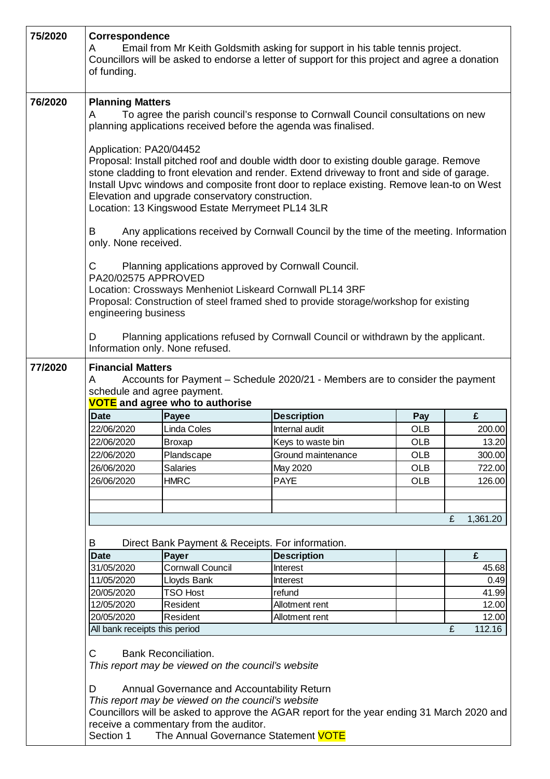| 75/2020 | Correspondence<br>Email from Mr Keith Goldsmith asking for support in his table tennis project.<br>A<br>Councillors will be asked to endorse a letter of support for this project and agree a donation<br>of funding.                                                                               |                                                                                                      |                                                                                                                                                                                                                                                                                             |            |               |  |  |
|---------|-----------------------------------------------------------------------------------------------------------------------------------------------------------------------------------------------------------------------------------------------------------------------------------------------------|------------------------------------------------------------------------------------------------------|---------------------------------------------------------------------------------------------------------------------------------------------------------------------------------------------------------------------------------------------------------------------------------------------|------------|---------------|--|--|
| 76/2020 | <b>Planning Matters</b><br>A<br>planning applications received before the agenda was finalised.                                                                                                                                                                                                     | To agree the parish council's response to Cornwall Council consultations on new                      |                                                                                                                                                                                                                                                                                             |            |               |  |  |
|         | Application: PA20/04452                                                                                                                                                                                                                                                                             | Elevation and upgrade conservatory construction.<br>Location: 13 Kingswood Estate Merrymeet PL14 3LR | Proposal: Install pitched roof and double width door to existing double garage. Remove<br>stone cladding to front elevation and render. Extend driveway to front and side of garage.<br>Install Upvc windows and composite front door to replace existing. Remove lean-to on West           |            |               |  |  |
|         | B<br>only. None received.                                                                                                                                                                                                                                                                           |                                                                                                      | Any applications received by Cornwall Council by the time of the meeting. Information                                                                                                                                                                                                       |            |               |  |  |
|         | С<br>PA20/02575 APPROVED<br>engineering business<br>D                                                                                                                                                                                                                                               |                                                                                                      | Planning applications approved by Cornwall Council.<br>Location: Crossways Menheniot Liskeard Cornwall PL14 3RF<br>Proposal: Construction of steel framed shed to provide storage/workshop for existing<br>Planning applications refused by Cornwall Council or withdrawn by the applicant. |            |               |  |  |
|         |                                                                                                                                                                                                                                                                                                     | Information only. None refused.                                                                      |                                                                                                                                                                                                                                                                                             |            |               |  |  |
| 77/2020 | <b>Financial Matters</b><br>Accounts for Payment - Schedule 2020/21 - Members are to consider the payment<br>A<br>schedule and agree payment.<br><b>VOTE</b> and agree who to authorise                                                                                                             |                                                                                                      |                                                                                                                                                                                                                                                                                             |            |               |  |  |
|         | <b>Date</b>                                                                                                                                                                                                                                                                                         | Payee                                                                                                | <b>Description</b>                                                                                                                                                                                                                                                                          | Pay        | £             |  |  |
|         | 22/06/2020                                                                                                                                                                                                                                                                                          | Linda Coles                                                                                          | Internal audit                                                                                                                                                                                                                                                                              | <b>OLB</b> | 200.00        |  |  |
|         | 22/06/2020                                                                                                                                                                                                                                                                                          | Broxap                                                                                               | Keys to waste bin                                                                                                                                                                                                                                                                           | <b>OLB</b> | 13.20         |  |  |
|         | 22/06/2020                                                                                                                                                                                                                                                                                          | Plandscape                                                                                           | Ground maintenance                                                                                                                                                                                                                                                                          | <b>OLB</b> | 300.00        |  |  |
|         | 26/06/2020                                                                                                                                                                                                                                                                                          | Salaries                                                                                             | May 2020                                                                                                                                                                                                                                                                                    | <b>OLB</b> | 722.00        |  |  |
|         | 26/06/2020                                                                                                                                                                                                                                                                                          | <b>HMRC</b>                                                                                          | <b>PAYE</b>                                                                                                                                                                                                                                                                                 | <b>OLB</b> | 126.00        |  |  |
|         |                                                                                                                                                                                                                                                                                                     |                                                                                                      |                                                                                                                                                                                                                                                                                             |            |               |  |  |
|         |                                                                                                                                                                                                                                                                                                     |                                                                                                      |                                                                                                                                                                                                                                                                                             |            |               |  |  |
|         |                                                                                                                                                                                                                                                                                                     |                                                                                                      |                                                                                                                                                                                                                                                                                             |            | £<br>1,361.20 |  |  |
|         |                                                                                                                                                                                                                                                                                                     |                                                                                                      |                                                                                                                                                                                                                                                                                             |            |               |  |  |
|         | B                                                                                                                                                                                                                                                                                                   | Direct Bank Payment & Receipts. For information.                                                     |                                                                                                                                                                                                                                                                                             |            |               |  |  |
|         | <b>Date</b>                                                                                                                                                                                                                                                                                         | Payer                                                                                                | <b>Description</b>                                                                                                                                                                                                                                                                          |            | £             |  |  |
|         | 31/05/2020                                                                                                                                                                                                                                                                                          | <b>Cornwall Council</b>                                                                              | Interest                                                                                                                                                                                                                                                                                    |            | 45.68         |  |  |
|         | 11/05/2020                                                                                                                                                                                                                                                                                          | Lloyds Bank                                                                                          | <b>Interest</b>                                                                                                                                                                                                                                                                             |            | 0.49          |  |  |
|         | 20/05/2020                                                                                                                                                                                                                                                                                          | <b>TSO Host</b>                                                                                      | refund                                                                                                                                                                                                                                                                                      |            | 41.99         |  |  |
|         | 12/05/2020                                                                                                                                                                                                                                                                                          | Resident                                                                                             | Allotment rent                                                                                                                                                                                                                                                                              |            | 12.00         |  |  |
|         | 20/05/2020                                                                                                                                                                                                                                                                                          | Resident                                                                                             | Allotment rent                                                                                                                                                                                                                                                                              |            | 12.00         |  |  |
|         | All bank receipts this period                                                                                                                                                                                                                                                                       |                                                                                                      |                                                                                                                                                                                                                                                                                             |            | 112.16<br>£   |  |  |
|         | <b>Bank Reconciliation.</b><br>С<br>This report may be viewed on the council's website                                                                                                                                                                                                              |                                                                                                      |                                                                                                                                                                                                                                                                                             |            |               |  |  |
|         | Annual Governance and Accountability Return<br>D<br>This report may be viewed on the council's website<br>Councillors will be asked to approve the AGAR report for the year ending 31 March 2020 and<br>receive a commentary from the auditor.<br>The Annual Governance Statement VOTE<br>Section 1 |                                                                                                      |                                                                                                                                                                                                                                                                                             |            |               |  |  |